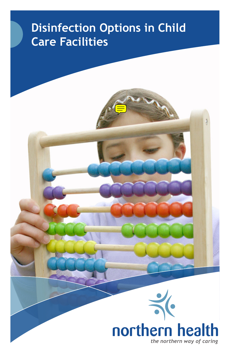# **Disinfection Options in Child Care Facilities**

WW

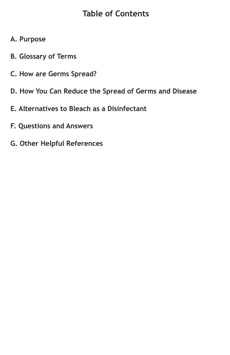### **Table of Contents**

- **A. Purpose**
- **B. Glossary of Terms**
- **C. How are Germs Spread?**
- **D. How You Can Reduce the Spread of Germs and Disease**
- **E. Alternatives to Bleach as a Disinfectant**
- **F. Questions and Answers**
- **G. Other Helpful References**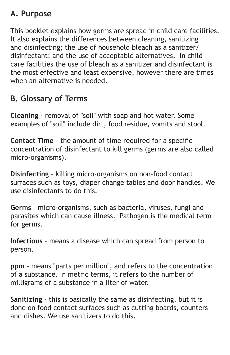### **A. Purpose**

This booklet explains how germs are spread in child care facilities. It also explains the differences between cleaning, sanitizing and disinfecting; the use of household bleach as a sanitizer/ disinfectant; and the use of acceptable alternatives. In child care facilities the use of bleach as a sanitizer and disinfectant is the most effective and least expensive, however there are times when an alternative is needed.

### **B. Glossary of Terms**

**Cleaning** - removal of "soil" with soap and hot water. Some examples of "soil" include dirt, food residue, vomits and stool.

**Contact Time** - the amount of time required for a specific concentration of disinfectant to kill germs (germs are also called micro-organisms).

**Disinfecting** - killing micro-organisms on non-food contact surfaces such as toys, diaper change tables and door handles. We use disinfectants to do this.

**Germs** – micro-organisms, such as bacteria, viruses, fungi and parasites which can cause illness. Pathogen is the medical term for germs.

**Infectious** - means a disease which can spread from person to person.

**ppm** - means "parts per million", and refers to the concentration of a substance. In metric terms, it refers to the number of milligrams of a substance in a liter of water.

**Sanitizing** - this is basically the same as disinfecting, but it is done on food contact surfaces such as cutting boards, counters and dishes. We use sanitizers to do this.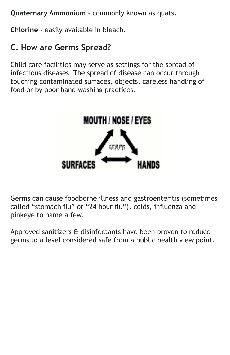**Quaternary Ammonium** - commonly known as quats.

**Chlorine** - easily available in bleach.

### **C. How are Germs Spread?**

Child care facilities may serve as settings for the spread of infectious diseases. The spread of disease can occur through touching contaminated surfaces, objects, careless handling of food or by poor hand washing practices.



Germs can cause foodborne illness and gastroenteritis (sometimes called "stomach flu" or "24 hour flu"), colds, influenza and pinkeye to name a few.

Approved sanitizers & disinfectants have been proven to reduce germs to a level considered safe from a public health view point.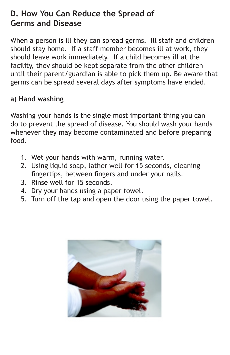### **D. How You Can Reduce the Spread of Germs and Disease**

When a person is ill they can spread germs. Ill staff and children should stay home. If a staff member becomes ill at work, they should leave work immediately. If a child becomes ill at the facility, they should be kept separate from the other children until their parent/guardian is able to pick them up. Be aware that germs can be spread several days after symptoms have ended.

#### **a) Hand washing**

Washing your hands is the single most important thing you can do to prevent the spread of disease. You should wash your hands whenever they may become contaminated and before preparing food.

- 1. Wet your hands with warm, running water.
- 2. Using liquid soap, lather well for 15 seconds, cleaning fingertips, between fingers and under your nails.
- 3. Rinse well for 15 seconds.
- 4. Dry your hands using a paper towel.
- 5. Turn off the tap and open the door using the paper towel.

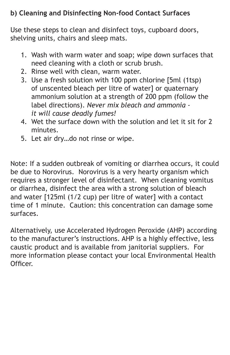#### **b) Cleaning and Disinfecting Non-food Contact Surfaces**

Use these steps to clean and disinfect toys, cupboard doors, shelving units, chairs and sleep mats.

- 1. Wash with warm water and soap; wipe down surfaces that need cleaning with a cloth or scrub brush.
- 2. Rinse well with clean, warm water.
- 3. Use a fresh solution with 100 ppm chlorine [5ml (1tsp) of unscented bleach per litre of water] or quaternary ammonium solution at a strength of 200 ppm (follow the label directions). *Never mix bleach and ammonia it will cause deadly fumes!*
- 4. Wet the surface down with the solution and let it sit for 2 minutes.
- 5. Let air dry…do not rinse or wipe.

Note: If a sudden outbreak of vomiting or diarrhea occurs, it could be due to Norovirus. Norovirus is a very hearty organism which requires a stronger level of disinfectant. When cleaning vomitus or diarrhea, disinfect the area with a strong solution of bleach and water [125ml (1/2 cup) per litre of water] with a contact time of 1 minute. Caution: this concentration can damage some surfaces.

Alternatively, use Accelerated Hydrogen Peroxide (AHP) according to the manufacturer's instructions. AHP is a highly effective, less caustic product and is available from janitorial suppliers. For more information please contact your local Environmental Health **Officer**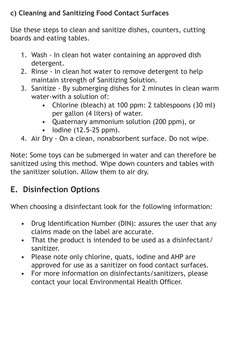### **c) Cleaning and Sanitizing Food Contact Surfaces**

Use these steps to clean and sanitize dishes, counters, cutting boards and eating tables.

- 1. Wash In clean hot water containing an approved dish detergent.
- 2. Rinse In clean hot water to remove detergent to help maintain strength of Sanitizing Solution.
- 3. Sanitize By submerging dishes for 2 minutes in clean warm water-with a solution of:
	- Chlorine (bleach) at 100 ppm: 2 tablespoons (30 ml) per gallon (4 liters) of water.
	- Quaternary ammonium solution (200 ppm), or
	- Iodine (12.5-25 ppm).
- 4. Air Dry On a clean, nonabsorbent surface. Do not wipe.

Note: Some toys can be submerged in water and can therefore be sanitized using this method. Wipe down counters and tables with the sanitizer solution. Allow them to air dry.

## **E. Disinfection Options**

When choosing a disinfectant look for the following information:

- Drug Identification Number (DIN): assures the user that any claims made on the label are accurate.
- That the product is intended to be used as a disinfectant/ sanitizer.
- Please note only chlorine, quats, iodine and AHP are approved for use as a sanitizer on food contact surfaces.
- For more information on disinfectants/sanitizers, please contact your local Environmental Health Officer.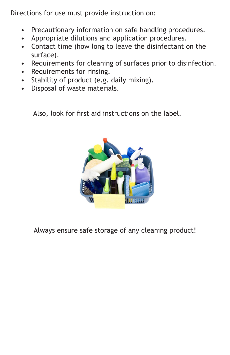Directions for use must provide instruction on:

- Precautionary information on safe handling procedures.
- Appropriate dilutions and application procedures.
- Contact time (how long to leave the disinfectant on the surface).
- Requirements for cleaning of surfaces prior to disinfection.
- Requirements for rinsing.
- Stability of product (e.g. daily mixing).
- Disposal of waste materials.

Also, look for first aid instructions on the label.



Always ensure safe storage of any cleaning product!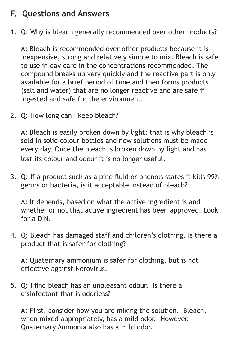### **F. Questions and Answers**

1. Q: Why is bleach generally recommended over other products?

A: Bleach is recommended over other products because it is inexpensive, strong and relatively simple to mix. Bleach is safe to use in day care in the concentrations recommended. The compound breaks up very quickly and the reactive part is only available for a brief period of time and then forms products (salt and water) that are no longer reactive and are safe if ingested and safe for the environment.

2. Q: How long can I keep bleach?

A: Bleach is easily broken down by light; that is why bleach is sold in solid colour bottles and new solutions must be made every day. Once the bleach is broken down by light and has lost its colour and odour it is no longer useful.

3. Q: If a product such as a pine fluid or phenols states it kills 99% germs or bacteria, is it acceptable instead of bleach?

A: It depends, based on what the active ingredient is and whether or not that active ingredient has been approved. Look for a DIN.

4. Q: Bleach has damaged staff and children's clothing. Is there a product that is safer for clothing?

A: Quaternary ammonium is safer for clothing, but is not effective against Norovirus.

5. Q: I find bleach has an unpleasant odour. Is there a disinfectant that is odorless?

A: First, consider how you are mixing the solution. Bleach, when mixed appropriately, has a mild odor. However, Quaternary Ammonia also has a mild odor.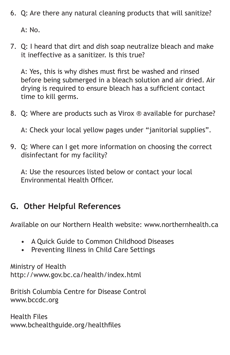6. Q: Are there any natural cleaning products that will sanitize?

A: No.

7. Q: I heard that dirt and dish soap neutralize bleach and make it ineffective as a sanitizer. Is this true?

A: Yes, this is why dishes must first be washed and rinsed before being submerged in a bleach solution and air dried. Air drying is required to ensure bleach has a sufficient contact time to kill germs.

8. Q: Where are products such as Virox ® available for purchase?

A: Check your local yellow pages under "janitorial supplies".

9. Q: Where can I get more information on choosing the correct disinfectant for my facility?

A: Use the resources listed below or contact your local Environmental Health Officer.

### **G. Other Helpful References**

Available on our Northern Health website: www.northernhealth.ca

- A Quick Guide to Common Childhood Diseases
- Preventing Illness in Child Care Settings

Ministry of Health http://www.gov.bc.ca/health/index.html

British Columbia Centre for Disease Control www.bccdc.org

Health Files www.bchealthguide.org/healthfiles